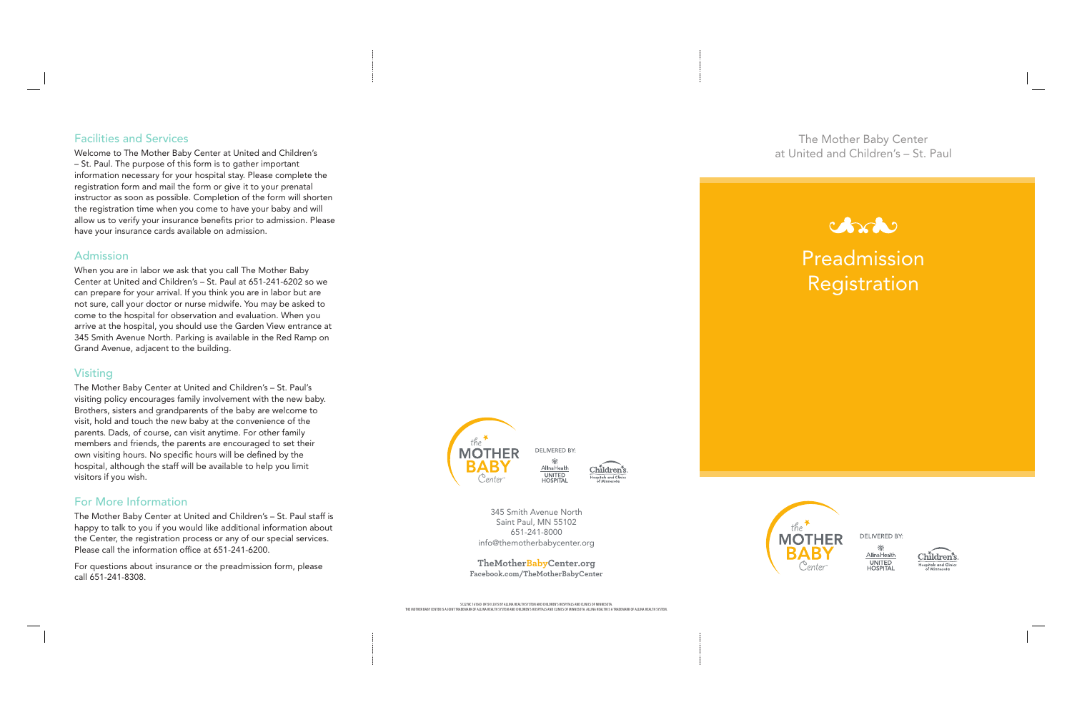# Preadmission Registration



**DELIVERED BY:** 

Š. Allina Health UNITED<br>HOSPITAL



345 Smith Avenue North Saint Paul, MN 55102 651-241-8000 info@themotherbabycenter.org

#### **TheMotherBabyCenter.org Facebook.com/TheMotherBabyCenter**

## Facilities and Services

Welcome to The Mother Baby Center at United and Children's – St. Paul. The purpose of this form is to gather important information necessary for your hospital stay. Please complete the registration form and mail the form or give it to your prenatal instructor as soon as possible. Completion of the form will shorten the registration time when you come to have your baby and will allow us to verify your insurance benefits prior to admission. Please have your insurance cards available on admission.

## Admission

When you are in labor we ask that you call The Mother Baby Center at United and Children's – St. Paul at 651-241-6202 so we can prepare for your arrival. If you think you are in labor but are not sure, call your doctor or nurse midwife. You may be asked to come to the hospital for observation and evaluation. When you arrive at the hospital, you should use the Garden View entrance at 345 Smith Avenue North. Parking is available in the Red Ramp on Grand Avenue, adjacent to the building.

## Visiting

The Mother Baby Center at United and Children's – St. Paul's visiting policy encourages family involvement with the new baby. Brothers, sisters and grandparents of the baby are welcome to visit, hold and touch the new baby at the convenience of the parents. Dads, of course, can visit anytime. For other family members and friends, the parents are encouraged to set their own visiting hours. No specific hours will be defined by the hospital, although the staff will be available to help you limit visitors if you wish.

# For More Information

The Mother Baby Center at United and Children's – St. Paul staff is happy to talk to you if you would like additional information about the Center, the registration process or any of our special services. Please call the information office at 651-241-6200.

For questions about insurance or the preadmission form, please call 651-241-8308.



**DELIVERED BY:** 斋 Allina Health UNITED<br>HOSPITAL



The Mother Baby Center at United and Children's – St. Paul